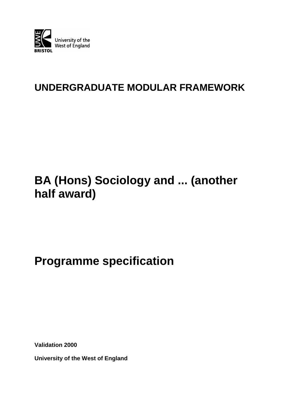

# **UNDERGRADUATE MODULAR FRAMEWORK**

# **BA (Hons) Sociology and ... (another half award)**

# **Programme specification**

**Validation 2000**

**University of the West of England**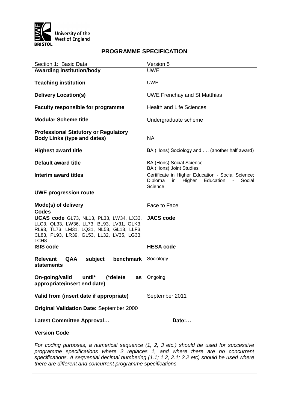

## **PROGRAMME SPECIFICATION**

| Section 1: Basic Data                                                                                                                                                                                                                                                    | Version 5                                                                                                                                                                                             |  |  |  |
|--------------------------------------------------------------------------------------------------------------------------------------------------------------------------------------------------------------------------------------------------------------------------|-------------------------------------------------------------------------------------------------------------------------------------------------------------------------------------------------------|--|--|--|
| <b>Awarding institution/body</b>                                                                                                                                                                                                                                         | <b>UWE</b>                                                                                                                                                                                            |  |  |  |
| <b>Teaching institution</b>                                                                                                                                                                                                                                              | <b>UWE</b>                                                                                                                                                                                            |  |  |  |
| <b>Delivery Location(s)</b>                                                                                                                                                                                                                                              | <b>UWE Frenchay and St Matthias</b>                                                                                                                                                                   |  |  |  |
| <b>Faculty responsible for programme</b>                                                                                                                                                                                                                                 | <b>Health and Life Sciences</b>                                                                                                                                                                       |  |  |  |
| <b>Modular Scheme title</b>                                                                                                                                                                                                                                              | Undergraduate scheme                                                                                                                                                                                  |  |  |  |
| <b>Professional Statutory or Regulatory</b><br><b>Body Links (type and dates)</b>                                                                                                                                                                                        | <b>NA</b>                                                                                                                                                                                             |  |  |  |
| <b>Highest award title</b>                                                                                                                                                                                                                                               | BA (Hons) Sociology and  (another half award)                                                                                                                                                         |  |  |  |
| <b>Default award title</b>                                                                                                                                                                                                                                               | <b>BA (Hons) Social Science</b><br>BA (Hons) Joint Studies<br>Certificate in Higher Education - Social Science;<br>Higher Education<br>Diploma<br>in<br>$\overline{\phantom{a}}$<br>Social<br>Science |  |  |  |
| Interim award titles                                                                                                                                                                                                                                                     |                                                                                                                                                                                                       |  |  |  |
| <b>UWE progression route</b>                                                                                                                                                                                                                                             |                                                                                                                                                                                                       |  |  |  |
| Mode(s) of delivery                                                                                                                                                                                                                                                      | Face to Face                                                                                                                                                                                          |  |  |  |
| <b>Codes</b><br>UCAS code GL73, NL13, PL33, LW34, LX33,<br>LLC3, QL33, LW36, LL73, BL93, LV31, GLK3,<br>RL93, TL73, LM31, LQ31, NL53, GL13, LLF3,<br>CL83, PL93, LR39, GL53, LL32, LV35, LG33,<br>LCH <sub>8</sub>                                                       | <b>JACS code</b>                                                                                                                                                                                      |  |  |  |
| <b>ISIS code</b>                                                                                                                                                                                                                                                         | <b>HESA code</b>                                                                                                                                                                                      |  |  |  |
| <b>benchmark</b> Sociology<br><b>Relevant</b><br><b>QAA</b><br>subject<br><b>statements</b>                                                                                                                                                                              |                                                                                                                                                                                                       |  |  |  |
| On-going/valid<br>until*<br>(*delete<br>as<br>appropriate/insert end date)                                                                                                                                                                                               | Ongoing                                                                                                                                                                                               |  |  |  |
| Valid from (insert date if appropriate)                                                                                                                                                                                                                                  | September 2011                                                                                                                                                                                        |  |  |  |
| <b>Original Validation Date: September 2000</b>                                                                                                                                                                                                                          |                                                                                                                                                                                                       |  |  |  |
| <b>Latest Committee Approval</b>                                                                                                                                                                                                                                         | Date:                                                                                                                                                                                                 |  |  |  |
| <b>Version Code</b>                                                                                                                                                                                                                                                      |                                                                                                                                                                                                       |  |  |  |
| For coding purposes, a numerical sequence (1, 2, 3 etc.) should be used for successive<br>programme specifications where 2 replaces 1, and where there are no concurrent<br>specifications. A sequential decimal numbering (1.1; 1.2, 2.1; 2.2 etc) should be used where |                                                                                                                                                                                                       |  |  |  |

*there are different and concurrent programme specifications*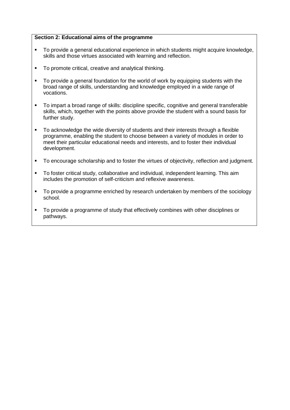### **Section 2: Educational aims of the programme**

- To provide a general educational experience in which students might acquire knowledge, skills and those virtues associated with learning and reflection.
- To promote critical, creative and analytical thinking.
- To provide a general foundation for the world of work by equipping students with the broad range of skills, understanding and knowledge employed in a wide range of vocations.
- To impart a broad range of skills: discipline specific, cognitive and general transferable skills, which, together with the points above provide the student with a sound basis for further study.
- To acknowledge the wide diversity of students and their interests through a flexible programme, enabling the student to choose between a variety of modules in order to meet their particular educational needs and interests, and to foster their individual development.
- To encourage scholarship and to foster the virtues of objectivity, reflection and judgment.
- To foster critical study, collaborative and individual, independent learning. This aim includes the promotion of self-criticism and reflexive awareness.
- To provide a programme enriched by research undertaken by members of the sociology school.
- To provide a programme of study that effectively combines with other disciplines or pathways.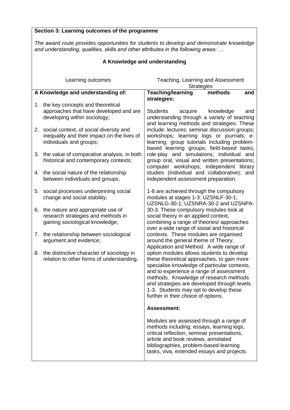#### **Section 3: Learning outcomes of the programme** *The award route provides opportunities for students to develop and demonstrate knowledge and understanding, qualities, skills and other attributes in the following areas: …* **A Knowledge and understanding** Learning outcomes Teaching, Learning and Assessment **Strategies A Knowledge and understanding of:** 1. the key concepts and theoretical approaches that have developed and are developing within sociology; 2. social context, of social diversity and inequality and their impact on the lives of individuals and groups; 3. the value of comparative analysis, in both historical and contemporary contexts; 4. the social nature of the relationship between individuals and groups; 5. social processes underpinning social change and social stability; 6. the nature and appropriate use of research strategies and methods in gaining sociological knowledge; 7. the relationship between sociological argument and evidence; 8. the distinctive character of sociology in relation to other forms of understanding. **Teaching/learning methods and strategies:** Students acquire knowledge and understanding through a variety of teaching and learning methods and strategies. These include: lectures; seminar discussion groups; workshops; learning logs or journals; elearning; group tutorials including problembased learning groups; field-based tasks; role-play and simulations; individual and group oral, visual and written presentations; computer workshops; independent library studies (individual and collaborative); and independent assessment preparation. 1-8 are achieved through the compulsory modules at stages 1-3: UZSNLF-30-1; UZSNLG-30-1; UZSNRA-30-2 and UZSNPA-30-3. These compulsory modules look at social theory in an applied context, combining a range of theories/ approaches over a wide range of social and historical contexts. These modules are organised around the general theme of Theory, Application and Method. A wide range of option modules allows students to develop these theoretical approaches, to gain more specialise knowledge of particular contexts, and to experience a range of assessment methods. Knowledge of research methods and strategies are developed through levels 1-3. Students may opt to develop these further in their choice of options. **Assessment:** Modules are assessed through a range of methods including: essays, learning logs, critical reflection, seminar presentations, article and book reviews, annotated bibliographies, problem-based-learning tasks, viva, extended essays and projects.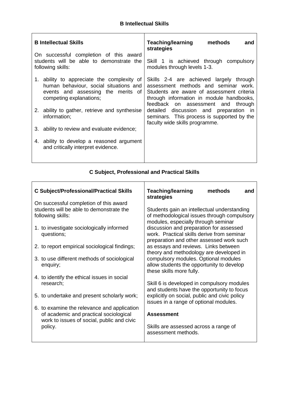| <b>B</b> Intellectual Skills |                                                                                                                                                       | <b>Teaching/learning</b><br>methods<br>and<br>strategies                                                                                                                                                       |  |  |
|------------------------------|-------------------------------------------------------------------------------------------------------------------------------------------------------|----------------------------------------------------------------------------------------------------------------------------------------------------------------------------------------------------------------|--|--|
|                              | On successful completion of this award<br>students will be able to demonstrate the<br>following skills:                                               | Skill 1 is achieved through compulsory<br>modules through levels 1-3.                                                                                                                                          |  |  |
|                              | 1. ability to appreciate the complexity of<br>human behaviour, social situations and<br>events and assessing the merits of<br>competing explanations; | Skills 2-4 are achieved largely through<br>assessment methods and seminar work.<br>Students are aware of assessment criteria<br>through information in module handbooks,<br>feedback on assessment and through |  |  |
|                              | 2. ability to gather, retrieve and synthesise<br>information;                                                                                         | detailed discussion and preparation in<br>seminars. This process is supported by the<br>faculty wide skills programme.                                                                                         |  |  |
|                              | 3. ability to review and evaluate evidence;                                                                                                           |                                                                                                                                                                                                                |  |  |
|                              | 4. ability to develop a reasoned argument<br>and critically interpret evidence.                                                                       |                                                                                                                                                                                                                |  |  |

# **C Subject, Professional and Practical Skills**

| <b>C Subject/Professional/Practical Skills</b>                                                                                      | <b>Teaching/learning</b><br>methods<br>and<br>strategies                                                                                                                                                             |  |  |
|-------------------------------------------------------------------------------------------------------------------------------------|----------------------------------------------------------------------------------------------------------------------------------------------------------------------------------------------------------------------|--|--|
| On successful completion of this award<br>students will be able to demonstrate the<br>following skills:                             | Students gain an intellectual understanding<br>of methodological issues through compulsory<br>modules, especially through seminar                                                                                    |  |  |
| 1. to investigate sociologically informed<br>questions;                                                                             | discussion and preparation for assessed<br>work. Practical skills derive from seminar<br>preparation and other assessed work such<br>as essays and reviews. Links between<br>theory and methodology are developed in |  |  |
| 2. to report empirical sociological findings;                                                                                       |                                                                                                                                                                                                                      |  |  |
| 3. to use different methods of sociological<br>enquiry;                                                                             | compulsory modules. Optional modules<br>allow students the opportunity to develop<br>these skills more fully.                                                                                                        |  |  |
| 4. to identify the ethical issues in social<br>research;                                                                            | Skill 6 is developed in compulsory modules<br>and students have the opportunity to focus                                                                                                                             |  |  |
| 5. to undertake and present scholarly work;                                                                                         | explicitly on social, public and civic policy<br>issues in a range of optional modules.                                                                                                                              |  |  |
| 6. to examine the relevance and application<br>of academic and practical sociological<br>work to issues of social, public and civic | <b>Assessment</b>                                                                                                                                                                                                    |  |  |
| policy.                                                                                                                             | Skills are assessed across a range of<br>assessment methods.                                                                                                                                                         |  |  |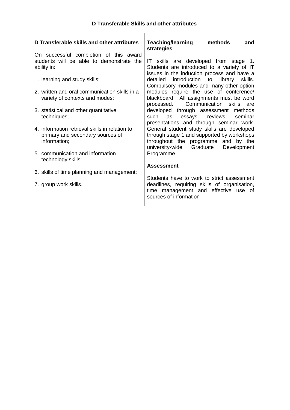| D Transferable skills and other attributes                                         | <b>Teaching/learning</b><br>methods<br>and<br>strategies                                                                           |
|------------------------------------------------------------------------------------|------------------------------------------------------------------------------------------------------------------------------------|
| On successful completion of this award<br>students will be able to demonstrate the | IT skills are developed from stage 1.                                                                                              |
| ability in:                                                                        | Students are introduced to a variety of IT<br>issues in the induction process and have a                                           |
| 1. learning and study skills;                                                      | detailed<br>introduction to library<br>skills.<br>Compulsory modules and many other option                                         |
| 2. written and oral communication skills in a                                      | modules require the use of conference/                                                                                             |
| variety of contexts and modes;                                                     | blackboard. All assignments must be word<br>Communication skills are<br>processed.                                                 |
| 3. statistical and other quantitative                                              | developed through assessment methods                                                                                               |
| techniques;                                                                        | reviews,<br>such<br>essays,<br>seminar<br>as                                                                                       |
| 4. information retrieval skills in relation to                                     | presentations and through seminar work.<br>General student study skills are developed                                              |
| primary and secondary sources of                                                   | through stage 1 and supported by workshops                                                                                         |
| information;                                                                       | throughout the programme and by the                                                                                                |
|                                                                                    | university-wide Graduate<br>Development                                                                                            |
| 5. communication and information<br>technology skills;                             | Programme.                                                                                                                         |
|                                                                                    | <b>Assessment</b>                                                                                                                  |
| 6. skills of time planning and management;                                         |                                                                                                                                    |
| 7. group work skills.                                                              | Students have to work to strict assessment<br>deadlines, requiring skills of organisation,<br>time management and effective use of |
|                                                                                    | sources of information                                                                                                             |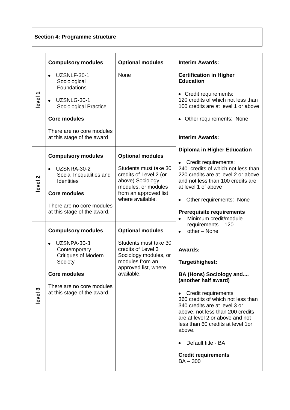# **Section 4: Programme structure**

|                    | <b>Compulsory modules</b>                                                                                                                                                            | <b>Optional modules</b>                                                                                                                                            | <b>Interim Awards:</b>                                                                                                                                                                                                                                                                                                                                                                                                        |
|--------------------|--------------------------------------------------------------------------------------------------------------------------------------------------------------------------------------|--------------------------------------------------------------------------------------------------------------------------------------------------------------------|-------------------------------------------------------------------------------------------------------------------------------------------------------------------------------------------------------------------------------------------------------------------------------------------------------------------------------------------------------------------------------------------------------------------------------|
| level <sub>1</sub> | UZSNLF-30-1<br>Sociological<br>Foundations                                                                                                                                           | None                                                                                                                                                               | <b>Certification in Higher</b><br><b>Education</b>                                                                                                                                                                                                                                                                                                                                                                            |
|                    | UZSNLG-30-1<br>Sociological Practice                                                                                                                                                 |                                                                                                                                                                    | • Credit requirements:<br>120 credits of which not less than<br>100 credits are at level 1 or above                                                                                                                                                                                                                                                                                                                           |
|                    | <b>Core modules</b>                                                                                                                                                                  |                                                                                                                                                                    | • Other requirements: None                                                                                                                                                                                                                                                                                                                                                                                                    |
|                    | There are no core modules<br>at this stage of the award                                                                                                                              |                                                                                                                                                                    | <b>Interim Awards:</b>                                                                                                                                                                                                                                                                                                                                                                                                        |
| level <sub>2</sub> | <b>Compulsory modules</b><br>UZSNRA-30-2<br>Social Inequalities and<br><b>Identities</b><br><b>Core modules</b><br>There are no core modules<br>at this stage of the award.          | <b>Optional modules</b><br>Students must take 30<br>credits of Level 2 (or<br>above) Sociology<br>modules, or modules<br>from an approved list<br>where available. | <b>Diploma in Higher Education</b><br>Credit requirements:<br>$\bullet$<br>240 credits of which not less than<br>220 credits are at level 2 or above<br>and not less than 100 credits are<br>at level 1 of above<br>Other requirements: None<br><b>Prerequisite requirements</b><br>Minimum credit/module                                                                                                                     |
| level 3            | <b>Compulsory modules</b><br>UZSNPA-30-3<br>Contemporary<br><b>Critiques of Modern</b><br>Society<br><b>Core modules</b><br>There are no core modules<br>at this stage of the award. | <b>Optional modules</b><br>Students must take 30<br>credits of Level 3<br>Sociology modules, or<br>modules from an<br>approved list, where<br>available.           | requirements - 120<br>other - None<br>$\bullet$<br>Awards:<br>Target/highest:<br><b>BA (Hons) Sociology and</b><br>(another half award)<br>Credit requirements<br>360 credits of which not less than<br>340 credits are at level 3 or<br>above, not less than 200 credits<br>are at level 2 or above and not<br>less than 60 credits at level 1or<br>above.<br>Default title - BA<br><b>Credit requirements</b><br>$BA - 300$ |